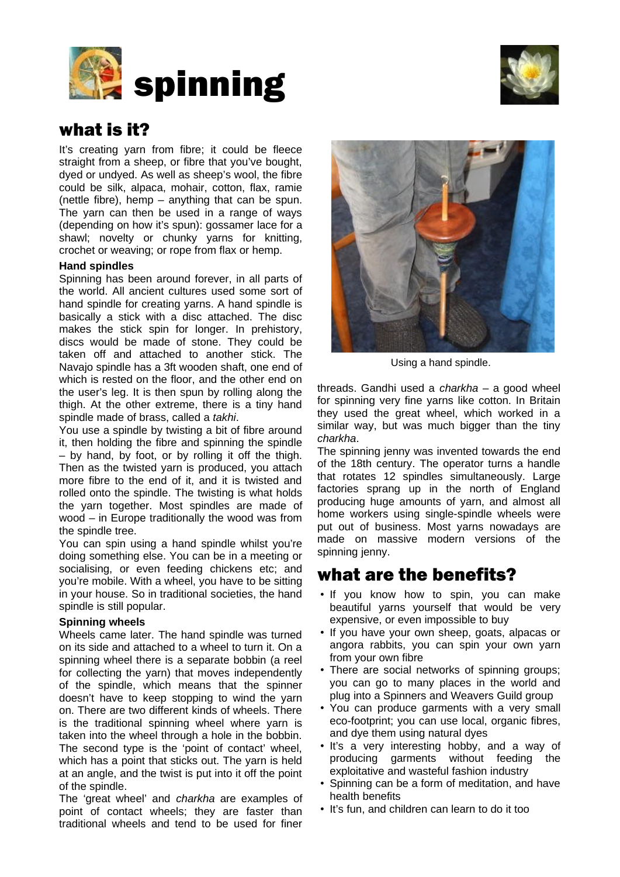



# what is it?

It's creating yarn from fibre; it could be fleece straight from a sheep, or fibre that you've bought, dyed or undyed. As well as sheep's wool, the fibre could be silk, alpaca, mohair, cotton, flax, ramie (nettle fibre), hemp – anything that can be spun. The yarn can then be used in a range of ways (depending on how it's spun): gossamer lace for a shawl; novelty or chunky yarns for knitting, crochet or weaving; or rope from flax or hemp.

### **Hand spindles**

Spinning has been around forever, in all parts of the world. All ancient cultures used some sort of hand spindle for creating yarns. A hand spindle is basically a stick with a disc attached. The disc makes the stick spin for longer. In prehistory, discs would be made of stone. They could be taken off and attached to another stick. The Navajo spindle has a 3ft wooden shaft, one end of which is rested on the floor, and the other end on the user's leg. It is then spun by rolling along the thigh. At the other extreme, there is a tiny hand spindle made of brass, called a *takhi*.

You use a spindle by twisting a bit of fibre around it, then holding the fibre and spinning the spindle – by hand, by foot, or by rolling it off the thigh. Then as the twisted yarn is produced, you attach more fibre to the end of it, and it is twisted and rolled onto the spindle. The twisting is what holds the yarn together. Most spindles are made of wood – in Europe traditionally the wood was from the spindle tree.

You can spin using a hand spindle whilst you're doing something else. You can be in a meeting or socialising, or even feeding chickens etc; and you're mobile. With a wheel, you have to be sitting in your house. So in traditional societies, the hand spindle is still popular.

### **Spinning wheels**

Wheels came later. The hand spindle was turned on its side and attached to a wheel to turn it. On a spinning wheel there is a separate bobbin (a reel for collecting the yarn) that moves independently of the spindle, which means that the spinner doesn't have to keep stopping to wind the yarn on. There are two different kinds of wheels. There is the traditional spinning wheel where yarn is taken into the wheel through a hole in the bobbin. The second type is the 'point of contact' wheel, which has a point that sticks out. The yarn is held at an angle, and the twist is put into it off the point of the spindle.

The 'great wheel' and *charkha* are examples of point of contact wheels; they are faster than traditional wheels and tend to be used for finer



Using a hand spindle.

threads. Gandhi used a *charkha* – a good wheel for spinning very fine yarns like cotton. In Britain they used the great wheel, which worked in a similar way, but was much bigger than the tiny *charkha*.

The spinning jenny was invented towards the end of the 18th century. The operator turns a handle that rotates 12 spindles simultaneously. Large factories sprang up in the north of England producing huge amounts of yarn, and almost all home workers using single-spindle wheels were put out of business. Most yarns nowadays are made on massive modern versions of the spinning jenny.

## what are the benefits?

- If you know how to spin, you can make beautiful yarns yourself that would be very expensive, or even impossible to buy
- If you have your own sheep, goats, alpacas or angora rabbits, you can spin your own yarn from your own fibre
- There are social networks of spinning groups; you can go to many places in the world and plug into a Spinners and Weavers Guild group
- You can produce garments with a very small eco-footprint; you can use local, organic fibres, and dye them using natural dyes
- It's a very interesting hobby, and a way of producing garments without feeding the exploitative and wasteful fashion industry
- Spinning can be a form of meditation, and have health benefits
- It's fun, and children can learn to do it too